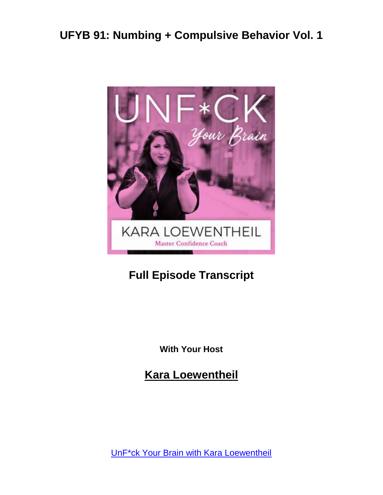

#### **Full Episode Transcript**

**With Your Host**

**Kara Loewentheil**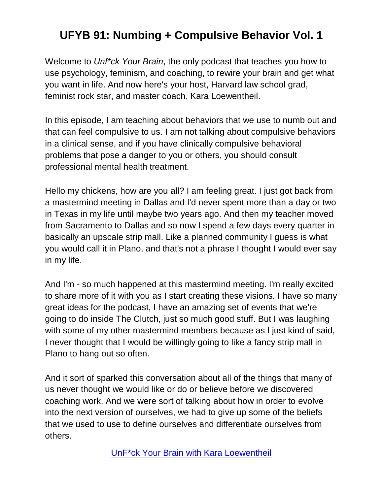Welcome to *Unf\*ck Your Brain*, the only podcast that teaches you how to use psychology, feminism, and coaching, to rewire your brain and get what you want in life. And now here's your host, Harvard law school grad, feminist rock star, and master coach, Kara Loewentheil.

In this episode, I am teaching about behaviors that we use to numb out and that can feel compulsive to us. I am not talking about compulsive behaviors in a clinical sense, and if you have clinically compulsive behavioral problems that pose a danger to you or others, you should consult professional mental health treatment.

Hello my chickens, how are you all? I am feeling great. I just got back from a mastermind meeting in Dallas and I'd never spent more than a day or two in Texas in my life until maybe two years ago. And then my teacher moved from Sacramento to Dallas and so now I spend a few days every quarter in basically an upscale strip mall. Like a planned community I guess is what you would call it in Plano, and that's not a phrase I thought I would ever say in my life.

And I'm - so much happened at this mastermind meeting. I'm really excited to share more of it with you as I start creating these visions. I have so many great ideas for the podcast, I have an amazing set of events that we're going to do inside The Clutch, just so much good stuff. But I was laughing with some of my other mastermind members because as I just kind of said, I never thought that I would be willingly going to like a fancy strip mall in Plano to hang out so often.

And it sort of sparked this conversation about all of the things that many of us never thought we would like or do or believe before we discovered coaching work. And we were sort of talking about how in order to evolve into the next version of ourselves, we had to give up some of the beliefs that we used to use to define ourselves and differentiate ourselves from others.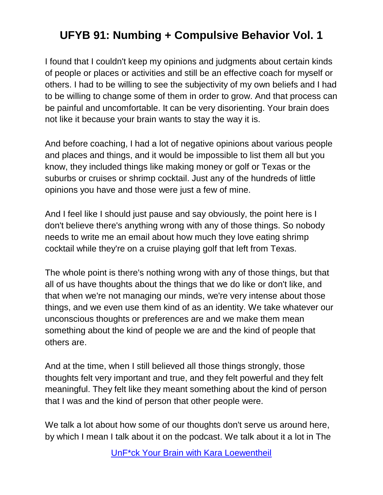I found that I couldn't keep my opinions and judgments about certain kinds of people or places or activities and still be an effective coach for myself or others. I had to be willing to see the subjectivity of my own beliefs and I had to be willing to change some of them in order to grow. And that process can be painful and uncomfortable. It can be very disorienting. Your brain does not like it because your brain wants to stay the way it is.

And before coaching, I had a lot of negative opinions about various people and places and things, and it would be impossible to list them all but you know, they included things like making money or golf or Texas or the suburbs or cruises or shrimp cocktail. Just any of the hundreds of little opinions you have and those were just a few of mine.

And I feel like I should just pause and say obviously, the point here is I don't believe there's anything wrong with any of those things. So nobody needs to write me an email about how much they love eating shrimp cocktail while they're on a cruise playing golf that left from Texas.

The whole point is there's nothing wrong with any of those things, but that all of us have thoughts about the things that we do like or don't like, and that when we're not managing our minds, we're very intense about those things, and we even use them kind of as an identity. We take whatever our unconscious thoughts or preferences are and we make them mean something about the kind of people we are and the kind of people that others are.

And at the time, when I still believed all those things strongly, those thoughts felt very important and true, and they felt powerful and they felt meaningful. They felt like they meant something about the kind of person that I was and the kind of person that other people were.

We talk a lot about how some of our thoughts don't serve us around here, by which I mean I talk about it on the podcast. We talk about it a lot in The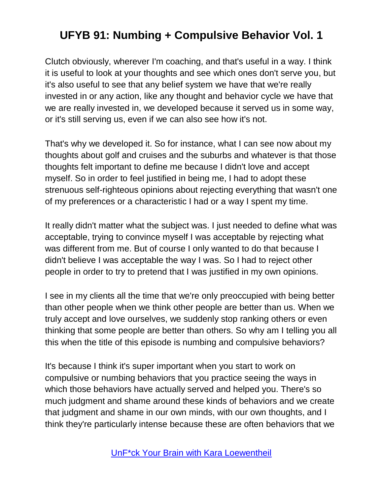Clutch obviously, wherever I'm coaching, and that's useful in a way. I think it is useful to look at your thoughts and see which ones don't serve you, but it's also useful to see that any belief system we have that we're really invested in or any action, like any thought and behavior cycle we have that we are really invested in, we developed because it served us in some way, or it's still serving us, even if we can also see how it's not.

That's why we developed it. So for instance, what I can see now about my thoughts about golf and cruises and the suburbs and whatever is that those thoughts felt important to define me because I didn't love and accept myself. So in order to feel justified in being me, I had to adopt these strenuous self-righteous opinions about rejecting everything that wasn't one of my preferences or a characteristic I had or a way I spent my time.

It really didn't matter what the subject was. I just needed to define what was acceptable, trying to convince myself I was acceptable by rejecting what was different from me. But of course I only wanted to do that because I didn't believe I was acceptable the way I was. So I had to reject other people in order to try to pretend that I was justified in my own opinions.

I see in my clients all the time that we're only preoccupied with being better than other people when we think other people are better than us. When we truly accept and love ourselves, we suddenly stop ranking others or even thinking that some people are better than others. So why am I telling you all this when the title of this episode is numbing and compulsive behaviors?

It's because I think it's super important when you start to work on compulsive or numbing behaviors that you practice seeing the ways in which those behaviors have actually served and helped you. There's so much judgment and shame around these kinds of behaviors and we create that judgment and shame in our own minds, with our own thoughts, and I think they're particularly intense because these are often behaviors that we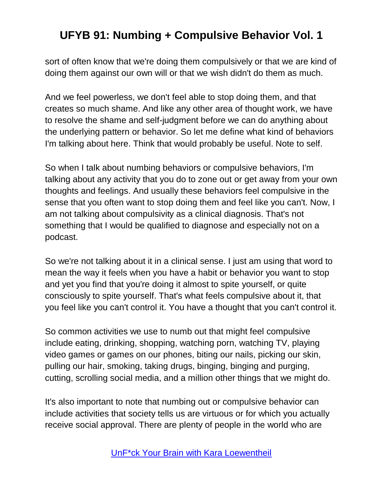sort of often know that we're doing them compulsively or that we are kind of doing them against our own will or that we wish didn't do them as much.

And we feel powerless, we don't feel able to stop doing them, and that creates so much shame. And like any other area of thought work, we have to resolve the shame and self-judgment before we can do anything about the underlying pattern or behavior. So let me define what kind of behaviors I'm talking about here. Think that would probably be useful. Note to self.

So when I talk about numbing behaviors or compulsive behaviors, I'm talking about any activity that you do to zone out or get away from your own thoughts and feelings. And usually these behaviors feel compulsive in the sense that you often want to stop doing them and feel like you can't. Now, I am not talking about compulsivity as a clinical diagnosis. That's not something that I would be qualified to diagnose and especially not on a podcast.

So we're not talking about it in a clinical sense. I just am using that word to mean the way it feels when you have a habit or behavior you want to stop and yet you find that you're doing it almost to spite yourself, or quite consciously to spite yourself. That's what feels compulsive about it, that you feel like you can't control it. You have a thought that you can't control it.

So common activities we use to numb out that might feel compulsive include eating, drinking, shopping, watching porn, watching TV, playing video games or games on our phones, biting our nails, picking our skin, pulling our hair, smoking, taking drugs, binging, binging and purging, cutting, scrolling social media, and a million other things that we might do.

It's also important to note that numbing out or compulsive behavior can include activities that society tells us are virtuous or for which you actually receive social approval. There are plenty of people in the world who are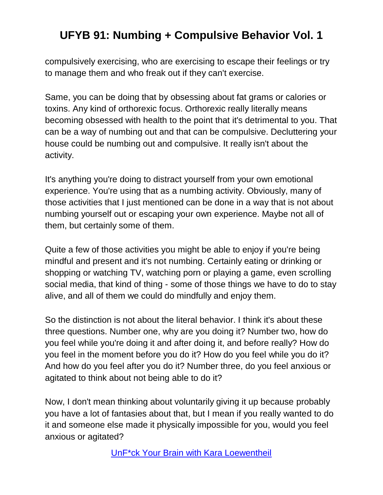compulsively exercising, who are exercising to escape their feelings or try to manage them and who freak out if they can't exercise.

Same, you can be doing that by obsessing about fat grams or calories or toxins. Any kind of orthorexic focus. Orthorexic really literally means becoming obsessed with health to the point that it's detrimental to you. That can be a way of numbing out and that can be compulsive. Decluttering your house could be numbing out and compulsive. It really isn't about the activity.

It's anything you're doing to distract yourself from your own emotional experience. You're using that as a numbing activity. Obviously, many of those activities that I just mentioned can be done in a way that is not about numbing yourself out or escaping your own experience. Maybe not all of them, but certainly some of them.

Quite a few of those activities you might be able to enjoy if you're being mindful and present and it's not numbing. Certainly eating or drinking or shopping or watching TV, watching porn or playing a game, even scrolling social media, that kind of thing - some of those things we have to do to stay alive, and all of them we could do mindfully and enjoy them.

So the distinction is not about the literal behavior. I think it's about these three questions. Number one, why are you doing it? Number two, how do you feel while you're doing it and after doing it, and before really? How do you feel in the moment before you do it? How do you feel while you do it? And how do you feel after you do it? Number three, do you feel anxious or agitated to think about not being able to do it?

Now, I don't mean thinking about voluntarily giving it up because probably you have a lot of fantasies about that, but I mean if you really wanted to do it and someone else made it physically impossible for you, would you feel anxious or agitated?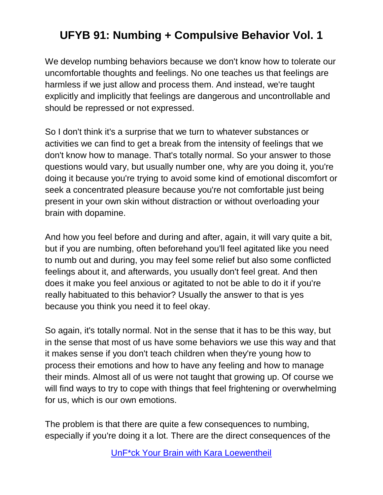We develop numbing behaviors because we don't know how to tolerate our uncomfortable thoughts and feelings. No one teaches us that feelings are harmless if we just allow and process them. And instead, we're taught explicitly and implicitly that feelings are dangerous and uncontrollable and should be repressed or not expressed.

So I don't think it's a surprise that we turn to whatever substances or activities we can find to get a break from the intensity of feelings that we don't know how to manage. That's totally normal. So your answer to those questions would vary, but usually number one, why are you doing it, you're doing it because you're trying to avoid some kind of emotional discomfort or seek a concentrated pleasure because you're not comfortable just being present in your own skin without distraction or without overloading your brain with dopamine.

And how you feel before and during and after, again, it will vary quite a bit, but if you are numbing, often beforehand you'll feel agitated like you need to numb out and during, you may feel some relief but also some conflicted feelings about it, and afterwards, you usually don't feel great. And then does it make you feel anxious or agitated to not be able to do it if you're really habituated to this behavior? Usually the answer to that is yes because you think you need it to feel okay.

So again, it's totally normal. Not in the sense that it has to be this way, but in the sense that most of us have some behaviors we use this way and that it makes sense if you don't teach children when they're young how to process their emotions and how to have any feeling and how to manage their minds. Almost all of us were not taught that growing up. Of course we will find ways to try to cope with things that feel frightening or overwhelming for us, which is our own emotions.

The problem is that there are quite a few consequences to numbing, especially if you're doing it a lot. There are the direct consequences of the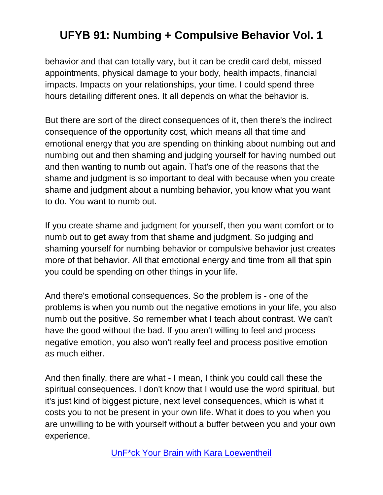behavior and that can totally vary, but it can be credit card debt, missed appointments, physical damage to your body, health impacts, financial impacts. Impacts on your relationships, your time. I could spend three hours detailing different ones. It all depends on what the behavior is.

But there are sort of the direct consequences of it, then there's the indirect consequence of the opportunity cost, which means all that time and emotional energy that you are spending on thinking about numbing out and numbing out and then shaming and judging yourself for having numbed out and then wanting to numb out again. That's one of the reasons that the shame and judgment is so important to deal with because when you create shame and judgment about a numbing behavior, you know what you want to do. You want to numb out.

If you create shame and judgment for yourself, then you want comfort or to numb out to get away from that shame and judgment. So judging and shaming yourself for numbing behavior or compulsive behavior just creates more of that behavior. All that emotional energy and time from all that spin you could be spending on other things in your life.

And there's emotional consequences. So the problem is - one of the problems is when you numb out the negative emotions in your life, you also numb out the positive. So remember what I teach about contrast. We can't have the good without the bad. If you aren't willing to feel and process negative emotion, you also won't really feel and process positive emotion as much either.

And then finally, there are what - I mean, I think you could call these the spiritual consequences. I don't know that I would use the word spiritual, but it's just kind of biggest picture, next level consequences, which is what it costs you to not be present in your own life. What it does to you when you are unwilling to be with yourself without a buffer between you and your own experience.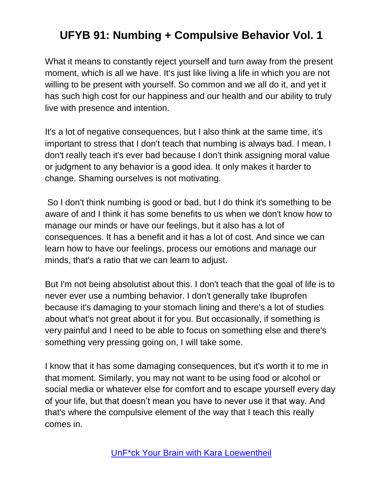What it means to constantly reject yourself and turn away from the present moment, which is all we have. It's just like living a life in which you are not willing to be present with yourself. So common and we all do it, and yet it has such high cost for our happiness and our health and our ability to truly live with presence and intention.

It's a lot of negative consequences, but I also think at the same time, it's important to stress that I don't teach that numbing is always bad. I mean, I don't really teach it's ever bad because I don't think assigning moral value or judgment to any behavior is a good idea. It only makes it harder to change. Shaming ourselves is not motivating.

So I don't think numbing is good or bad, but I do think it's something to be aware of and I think it has some benefits to us when we don't know how to manage our minds or have our feelings, but it also has a lot of consequences. It has a benefit and it has a lot of cost. And since we can learn how to have our feelings, process our emotions and manage our minds, that's a ratio that we can learn to adjust.

But I'm not being absolutist about this. I don't teach that the goal of life is to never ever use a numbing behavior. I don't generally take Ibuprofen because it's damaging to your stomach lining and there's a lot of studies about what's not great about it for you. But occasionally, if something is very painful and I need to be able to focus on something else and there's something very pressing going on, I will take some.

I know that it has some damaging consequences, but it's worth it to me in that moment. Similarly, you may not want to be using food or alcohol or social media or whatever else for comfort and to escape yourself every day of your life, but that doesn't mean you have to never use it that way. And that's where the compulsive element of the way that I teach this really comes in.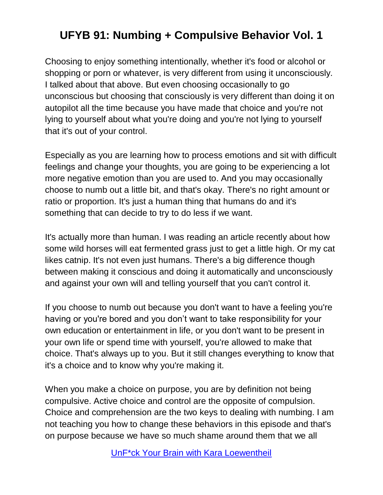Choosing to enjoy something intentionally, whether it's food or alcohol or shopping or porn or whatever, is very different from using it unconsciously. I talked about that above. But even choosing occasionally to go unconscious but choosing that consciously is very different than doing it on autopilot all the time because you have made that choice and you're not lying to yourself about what you're doing and you're not lying to yourself that it's out of your control.

Especially as you are learning how to process emotions and sit with difficult feelings and change your thoughts, you are going to be experiencing a lot more negative emotion than you are used to. And you may occasionally choose to numb out a little bit, and that's okay. There's no right amount or ratio or proportion. It's just a human thing that humans do and it's something that can decide to try to do less if we want.

It's actually more than human. I was reading an article recently about how some wild horses will eat fermented grass just to get a little high. Or my cat likes catnip. It's not even just humans. There's a big difference though between making it conscious and doing it automatically and unconsciously and against your own will and telling yourself that you can't control it.

If you choose to numb out because you don't want to have a feeling you're having or you're bored and you don't want to take responsibility for your own education or entertainment in life, or you don't want to be present in your own life or spend time with yourself, you're allowed to make that choice. That's always up to you. But it still changes everything to know that it's a choice and to know why you're making it.

When you make a choice on purpose, you are by definition not being compulsive. Active choice and control are the opposite of compulsion. Choice and comprehension are the two keys to dealing with numbing. I am not teaching you how to change these behaviors in this episode and that's on purpose because we have so much shame around them that we all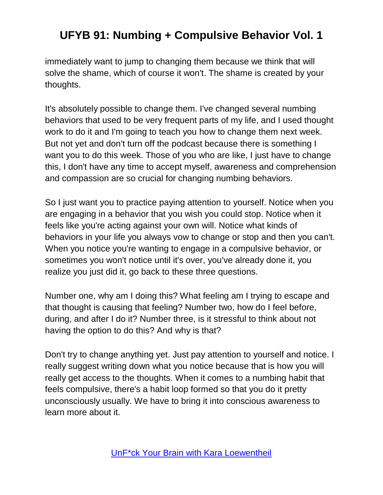immediately want to jump to changing them because we think that will solve the shame, which of course it won't. The shame is created by your thoughts.

It's absolutely possible to change them. I've changed several numbing behaviors that used to be very frequent parts of my life, and I used thought work to do it and I'm going to teach you how to change them next week. But not yet and don't turn off the podcast because there is something I want you to do this week. Those of you who are like, I just have to change this, I don't have any time to accept myself, awareness and comprehension and compassion are so crucial for changing numbing behaviors.

So I just want you to practice paying attention to yourself. Notice when you are engaging in a behavior that you wish you could stop. Notice when it feels like you're acting against your own will. Notice what kinds of behaviors in your life you always vow to change or stop and then you can't. When you notice you're wanting to engage in a compulsive behavior, or sometimes you won't notice until it's over, you've already done it, you realize you just did it, go back to these three questions.

Number one, why am I doing this? What feeling am I trying to escape and that thought is causing that feeling? Number two, how do I feel before, during, and after I do it? Number three, is it stressful to think about not having the option to do this? And why is that?

Don't try to change anything yet. Just pay attention to yourself and notice. I really suggest writing down what you notice because that is how you will really get access to the thoughts. When it comes to a numbing habit that feels compulsive, there's a habit loop formed so that you do it pretty unconsciously usually. We have to bring it into conscious awareness to learn more about it.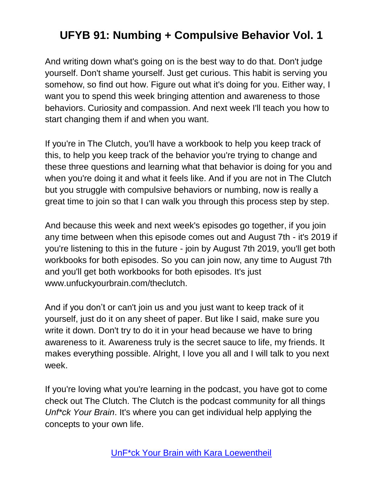And writing down what's going on is the best way to do that. Don't judge yourself. Don't shame yourself. Just get curious. This habit is serving you somehow, so find out how. Figure out what it's doing for you. Either way, I want you to spend this week bringing attention and awareness to those behaviors. Curiosity and compassion. And next week I'll teach you how to start changing them if and when you want.

If you're in The Clutch, you'll have a workbook to help you keep track of this, to help you keep track of the behavior you're trying to change and these three questions and learning what that behavior is doing for you and when you're doing it and what it feels like. And if you are not in The Clutch but you struggle with compulsive behaviors or numbing, now is really a great time to join so that I can walk you through this process step by step.

And because this week and next week's episodes go together, if you join any time between when this episode comes out and August 7th - it's 2019 if you're listening to this in the future - join by August 7th 2019, you'll get both workbooks for both episodes. So you can join now, any time to August 7th and you'll get both workbooks for both episodes. It's just www.unfuckyourbrain.com/theclutch.

And if you don't or can't join us and you just want to keep track of it yourself, just do it on any sheet of paper. But like I said, make sure you write it down. Don't try to do it in your head because we have to bring awareness to it. Awareness truly is the secret sauce to life, my friends. It makes everything possible. Alright, I love you all and I will talk to you next week.

If you're loving what you're learning in the podcast, you have got to come check out The Clutch. The Clutch is the podcast community for all things *Unf\*ck Your Brain*. It's where you can get individual help applying the concepts to your own life.